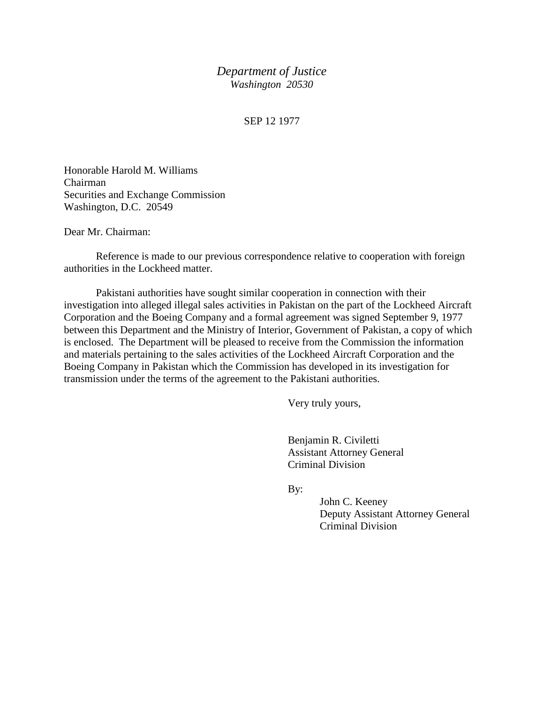## *Department of Justice Washington 20530*

## SEP 12 1977

Honorable Harold M. Williams Chairman Securities and Exchange Commission Washington, D.C. 20549

Dear Mr. Chairman:

Reference is made to our previous correspondence relative to cooperation with foreign authorities in the Lockheed matter.

Pakistani authorities have sought similar cooperation in connection with their investigation into alleged illegal sales activities in Pakistan on the part of the Lockheed Aircraft Corporation and the Boeing Company and a formal agreement was signed September 9, 1977 between this Department and the Ministry of Interior, Government of Pakistan, a copy of which is enclosed. The Department will be pleased to receive from the Commission the information and materials pertaining to the sales activities of the Lockheed Aircraft Corporation and the Boeing Company in Pakistan which the Commission has developed in its investigation for transmission under the terms of the agreement to the Pakistani authorities.

Very truly yours,

Benjamin R. Civiletti Assistant Attorney General Criminal Division

By:

John C. Keeney Deputy Assistant Attorney General Criminal Division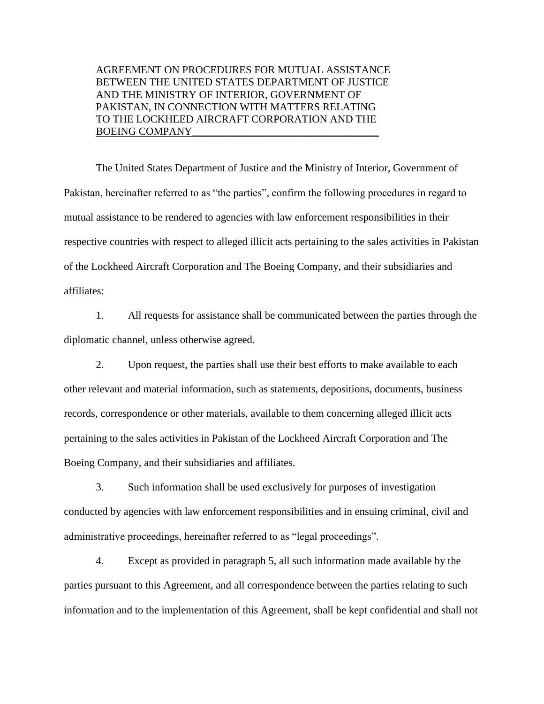## AGREEMENT ON PROCEDURES FOR MUTUAL ASSISTANCE BETWEEN THE UNITED STATES DEPARTMENT OF JUSTICE AND THE MINISTRY OF INTERIOR, GOVERNMENT OF PAKISTAN, IN CONNECTION WITH MATTERS RELATING TO THE LOCKHEED AIRCRAFT CORPORATION AND THE BOEING COMPANY

The United States Department of Justice and the Ministry of Interior, Government of Pakistan, hereinafter referred to as "the parties", confirm the following procedures in regard to mutual assistance to be rendered to agencies with law enforcement responsibilities in their respective countries with respect to alleged illicit acts pertaining to the sales activities in Pakistan of the Lockheed Aircraft Corporation and The Boeing Company, and their subsidiaries and affiliates:

1. All requests for assistance shall be communicated between the parties through the diplomatic channel, unless otherwise agreed.

2. Upon request, the parties shall use their best efforts to make available to each other relevant and material information, such as statements, depositions, documents, business records, correspondence or other materials, available to them concerning alleged illicit acts pertaining to the sales activities in Pakistan of the Lockheed Aircraft Corporation and The Boeing Company, and their subsidiaries and affiliates.

3. Such information shall be used exclusively for purposes of investigation conducted by agencies with law enforcement responsibilities and in ensuing criminal, civil and administrative proceedings, hereinafter referred to as "legal proceedings".

4. Except as provided in paragraph 5, all such information made available by the parties pursuant to this Agreement, and all correspondence between the parties relating to such information and to the implementation of this Agreement, shall be kept confidential and shall not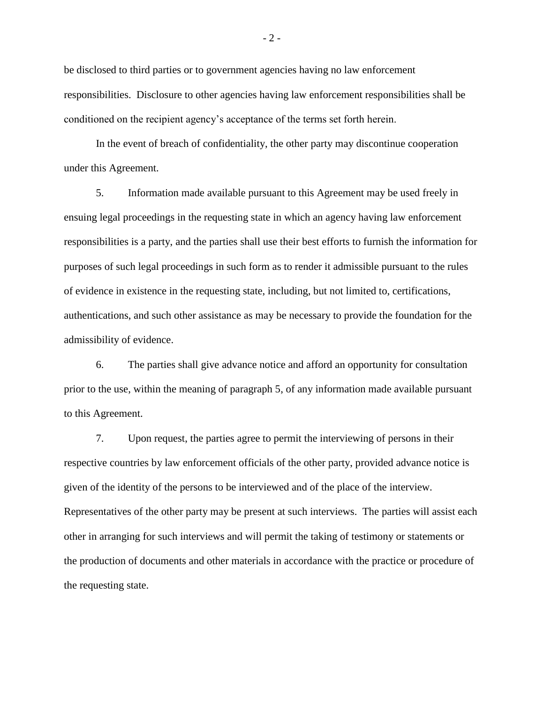be disclosed to third parties or to government agencies having no law enforcement responsibilities. Disclosure to other agencies having law enforcement responsibilities shall be conditioned on the recipient agency's acceptance of the terms set forth herein.

In the event of breach of confidentiality, the other party may discontinue cooperation under this Agreement.

5. Information made available pursuant to this Agreement may be used freely in ensuing legal proceedings in the requesting state in which an agency having law enforcement responsibilities is a party, and the parties shall use their best efforts to furnish the information for purposes of such legal proceedings in such form as to render it admissible pursuant to the rules of evidence in existence in the requesting state, including, but not limited to, certifications, authentications, and such other assistance as may be necessary to provide the foundation for the admissibility of evidence.

6. The parties shall give advance notice and afford an opportunity for consultation prior to the use, within the meaning of paragraph 5, of any information made available pursuant to this Agreement.

7. Upon request, the parties agree to permit the interviewing of persons in their respective countries by law enforcement officials of the other party, provided advance notice is given of the identity of the persons to be interviewed and of the place of the interview. Representatives of the other party may be present at such interviews. The parties will assist each other in arranging for such interviews and will permit the taking of testimony or statements or the production of documents and other materials in accordance with the practice or procedure of the requesting state.

 $-2-$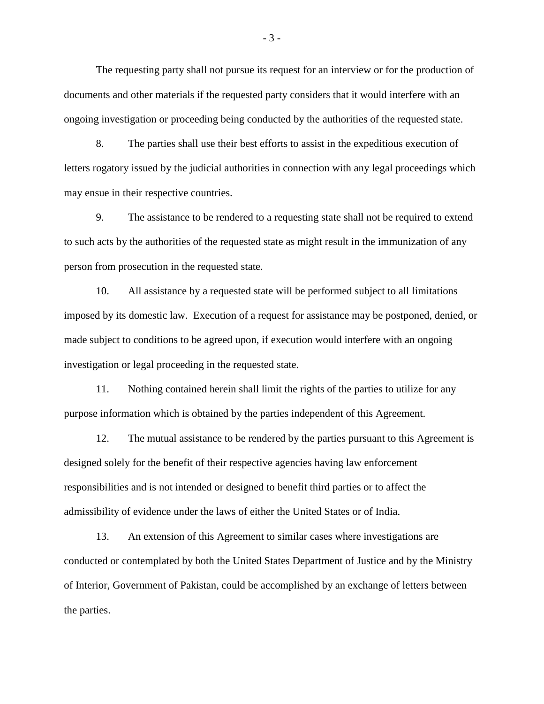The requesting party shall not pursue its request for an interview or for the production of documents and other materials if the requested party considers that it would interfere with an ongoing investigation or proceeding being conducted by the authorities of the requested state.

8. The parties shall use their best efforts to assist in the expeditious execution of letters rogatory issued by the judicial authorities in connection with any legal proceedings which may ensue in their respective countries.

9. The assistance to be rendered to a requesting state shall not be required to extend to such acts by the authorities of the requested state as might result in the immunization of any person from prosecution in the requested state.

10. All assistance by a requested state will be performed subject to all limitations imposed by its domestic law. Execution of a request for assistance may be postponed, denied, or made subject to conditions to be agreed upon, if execution would interfere with an ongoing investigation or legal proceeding in the requested state.

11. Nothing contained herein shall limit the rights of the parties to utilize for any purpose information which is obtained by the parties independent of this Agreement.

12. The mutual assistance to be rendered by the parties pursuant to this Agreement is designed solely for the benefit of their respective agencies having law enforcement responsibilities and is not intended or designed to benefit third parties or to affect the admissibility of evidence under the laws of either the United States or of India.

13. An extension of this Agreement to similar cases where investigations are conducted or contemplated by both the United States Department of Justice and by the Ministry of Interior, Government of Pakistan, could be accomplished by an exchange of letters between the parties.

- 3 -